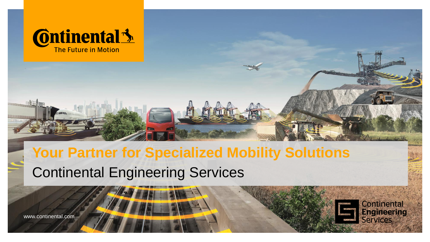

**Continental Engineering Services** 

# Continental Engineering Services **Your Partner for Specialized Mobility Solutions**

www.continental.com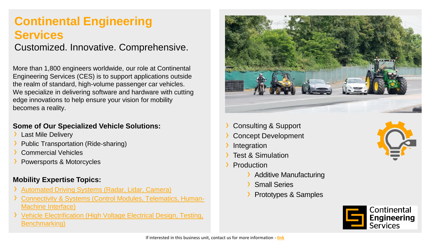### **Continental Engineering Services**

Customized. Innovative. Comprehensive.

More than 1,800 engineers worldwide, our role at Continental Engineering Services (CES) is to support applications outside the realm of standard, high-volume passenger car vehicles. We specialize in delivering software and hardware with cutting edge innovations to help ensure your vision for mobility becomes a reality.

#### **Some of Our Specialized Vehicle Solutions:**

- **Last Mile Delivery**
- Public Transportation (Ride-sharing)
- **Commercial Vehicles**
- Powersports & Motorcycles

#### **Mobility Expertise Topics:**

- [Automated Driving Systems \(Radar, Lidar, Camera\)](https://conti-engineering.com/domains-and-markets/vehicle-domain/adas/)
- [Connectivity & Systems \(Control Modules, Telematics, Human-](https://conti-engineering.com/domains-and-markets/vehicle-domain/connectivity/)Machine Interface)
- **CES 2021** › [Vehicle Electrification \(High Voltage Electrical Design, Testing,](https://conti-engineering.com/domains-and-markets/vehicle-domain/electrification/)  **Benchmarking**)



- Consulting & Support
- **Concept Development**
- **Integration**
- **Test & Simulation**
- **Production** 
	- › Additive Manufacturing
	- **Small Series**
	- › Prototypes & Samples



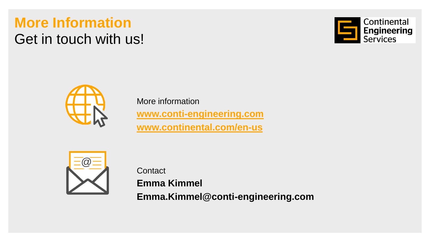## **More Information** Get in touch with us!





More information **[www.conti-engineering.com](http://www.conti-engineering.com/) [www.continental.com/en-us](http://www.continental.com/en-us)**



**Contact** 

**Emma Kimmel Emma.Kimmel@conti-engineering.com**